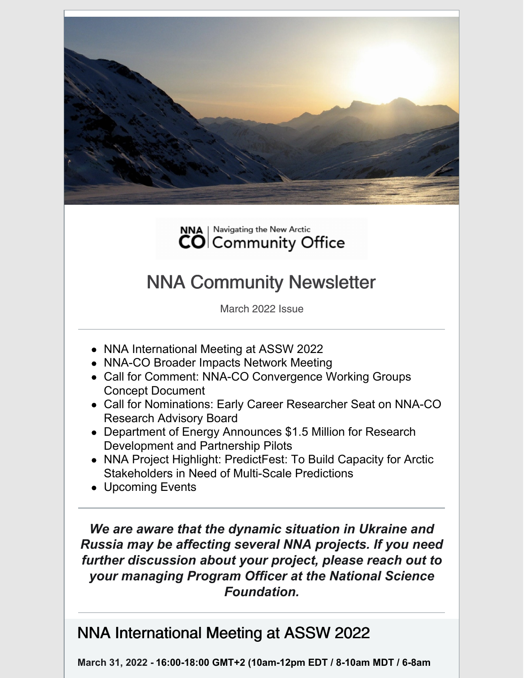



# NNA Community Newsletter

March 2022 Issue

- NNA International Meeting at ASSW 2022
- NNA-CO Broader Impacts Network Meeting
- Call for Comment: NNA-CO Convergence Working Groups Concept Document
- Call for Nominations: Early Career Researcher Seat on NNA-CO Research Advisory Board
- Department of Energy Announces \$1.5 Million for Research Development and Partnership Pilots
- NNA Project Highlight: PredictFest: To Build Capacity for Arctic Stakeholders in Need of Multi-Scale Predictions
- Upcoming Events

*We are aware that the dynamic situation in Ukraine and Russia may be affecting several NNA projects. If you need further discussion about your project, please reach out to your managing Program Officer at the National Science Foundation.*

### NNA International Meeting at ASSW 2022

**March 31, 2022 - 16:00-18:00 GMT+2 (10am-12pm EDT / 8-10am MDT / 6-8am**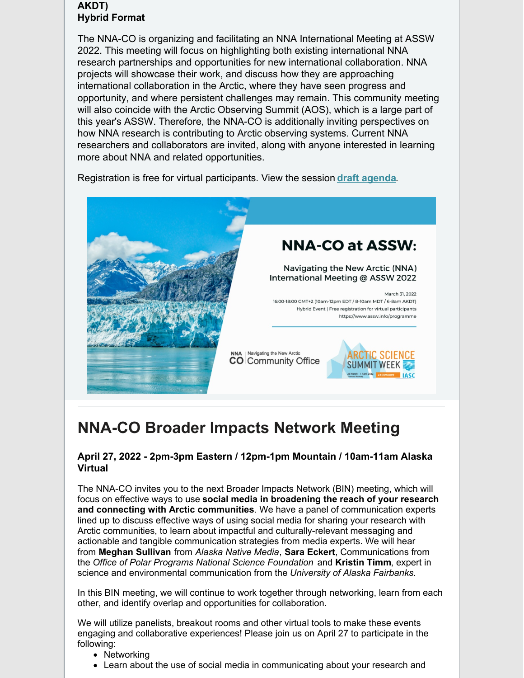### **AKDT) Hybrid Format**

The NNA-CO is organizing and facilitating an NNA International Meeting at ASSW 2022. This meeting will focus on highlighting both existing international NNA research partnerships and opportunities for new international collaboration. NNA projects will showcase their work, and discuss how they are approaching international collaboration in the Arctic, where they have seen progress and opportunity, and where persistent challenges may remain. This community meeting will also coincide with the Arctic Observing Summit (AOS), which is a large part of this year's ASSW. Therefore, the NNA-CO is additionally inviting perspectives on how NNA research is contributing to Arctic observing systems. Current NNA researchers and collaborators are invited, along with anyone interested in learning more about NNA and related opportunities.

Registration is free for virtual participants. View the session **draft [agenda](https://www.nna-co.org/sites/default/files/2022-03/NNA_International_Meeting_ASSW2022_0.pdf)**.



# **NNA-CO Broader Impacts Network Meeting**

### **April 27, 2022 - 2pm-3pm Eastern / 12pm-1pm Mountain / 10am-11am Alaska Virtual**

The NNA-CO invites you to the next Broader Impacts Network (BIN) meeting, which will focus on effective ways to use **social media in broadening the reach of your research and connecting with Arctic communities**. We have a panel of communication experts lined up to discuss effective ways of using social media for sharing your research with Arctic communities, to learn about impactful and culturally-relevant messaging and actionable and tangible communication strategies from media experts. We will hear from **Meghan Sullivan** from *Alaska Native Media*, **Sara Eckert**, Communications from the *Office of Polar Programs National Science Foundation* and **Kristin Timm**, expert in science and environmental communication from the *University of Alaska Fairbanks*.

In this BIN meeting, we will continue to work together through networking, learn from each other, and identify overlap and opportunities for collaboration.

We will utilize panelists, breakout rooms and other virtual tools to make these events engaging and collaborative experiences! Please join us on April 27 to participate in the following:

- Networking
- Learn about the use of social media in communicating about your research and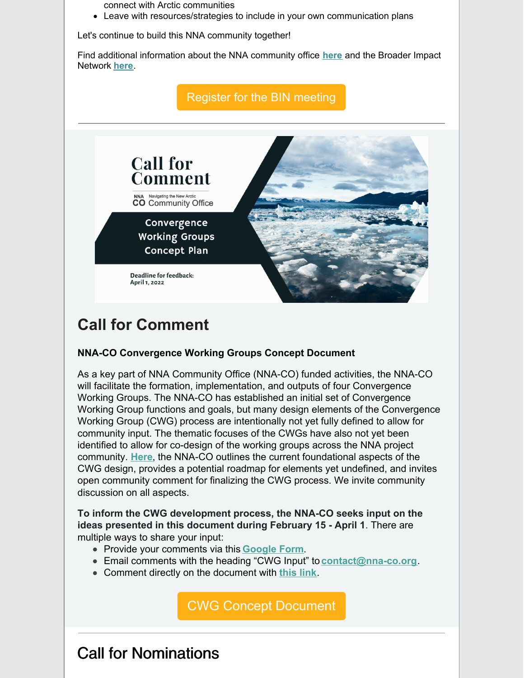connect with Arctic communities

Leave with resources/strategies to include in your own communication plans

Let's continue to build this NNA community together!

Find additional information about the NNA community office **[here](https://www.nna-co.org/)** and the Broader Impact Network **[here](https://www.nna-co.org/nna-co-broader-impacts-network)**.



### **Call for Comment**

### **NNA-CO Convergence Working Groups Concept Document**

As a key part of NNA Community Office (NNA-CO) funded activities, the NNA-CO will facilitate the formation, implementation, and outputs of four Convergence Working Groups. The NNA-CO has established an initial set of Convergence Working Group functions and goals, but many design elements of the Convergence Working Group (CWG) process are intentionally not yet fully defined to allow for community input. The thematic focuses of the CWGs have also not yet been identified to allow for co-design of the working groups across the NNA project community. **[Here](https://www.nna-co.org/sites/default/files/2022-02/Convergence Working Group - Concept Document_0.pdf)**, the NNA-CO outlines the current foundational aspects of the CWG design, provides a potential roadmap for elements yet undefined, and invites open community comment for finalizing the CWG process. We invite community discussion on all aspects.

**To inform the CWG development process, the NNA-CO seeks input on the ideas presented in this document during February 15 - April 1**. There are multiple ways to share your input:

- Provide your comments via this **[Google](https://forms.gle/knKMnrpWXhZWTzJK8) Form**.
- Email comments with the heading "CWG Input" to **[contact@nna-co.org](mailto:contact@nna-co.org)**.
- Comment directly on the document with **[this](https://docs.google.com/document/d/193FCd9WbQxOGb95X-a7vDGRJ2LzGSTTRwPSjuTVdKbU/edit?usp=sharing) link**.

CWG Concept [Document](https://www.nna-co.org/sites/default/files/2022-02/Convergence Working Group - Concept Document_0.pdf)

Call for Nominations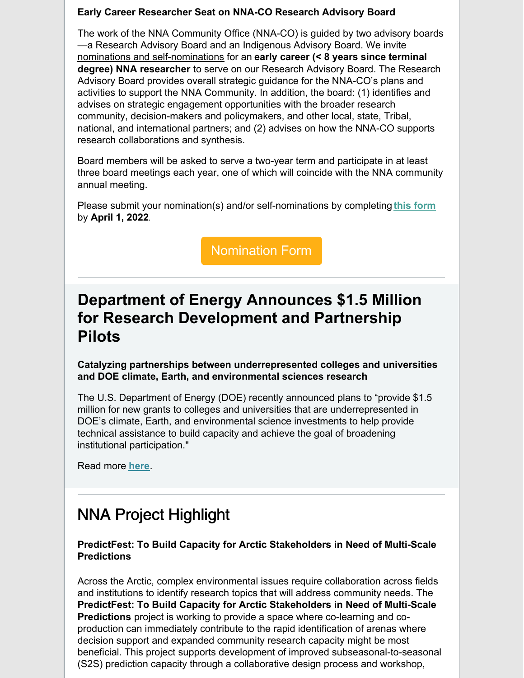#### **Early Career Researcher Seat on NNA-CO Research Advisory Board**

The work of the NNA Community Office (NNA-CO) is guided by two advisory boards —a Research Advisory Board and an Indigenous Advisory Board. We invite nominations and self-nominations for an **early career (< 8 years since terminal degree) NNA researcher** to serve on our Research Advisory Board. The Research Advisory Board provides overall strategic guidance for the NNA-CO's plans and activities to support the NNA Community. In addition, the board: (1) identifies and advises on strategic engagement opportunities with the broader research community, decision-makers and policymakers, and other local, state, Tribal, national, and international partners; and (2) advises on how the NNA-CO supports research collaborations and synthesis.

Board members will be asked to serve a two-year term and participate in at least three board meetings each year, one of which will coincide with the NNA community annual meeting.

Please submit your nomination(s) and/or self-nominations by completing **this [form](https://docs.google.com/forms/d/e/1FAIpQLSe2ieSxFpPYoGvMxVhAzv_Y2L2TL6B9lMl-9cAYD2600jFkng/viewform?usp=sf_link)** by **April 1, 2022**.

[Nomination](https://docs.google.com/forms/d/e/1FAIpQLSe2ieSxFpPYoGvMxVhAzv_Y2L2TL6B9lMl-9cAYD2600jFkng/viewform) Form

### **Department of Energy Announces \$1.5 Million for Research Development and Partnership Pilots**

**Catalyzing partnerships between underrepresented colleges and universities and DOE climate, Earth, and environmental sciences research**

The U.S. Department of Energy (DOE) recently announced plans to "provide \$1.5 million for new grants to colleges and universities that are underrepresented in DOE's climate, Earth, and environmental science investments to help provide technical assistance to build capacity and achieve the goal of broadening institutional participation."

Read more **[here](https://www.energy.gov/science/articles/department-energy-announces-15-million-research-development-and-partnership-pilots)**.

# NNA Project Highlight

### **PredictFest: To Build Capacity for Arctic Stakeholders in Need of Multi-Scale Predictions**

Across the Arctic, complex environmental issues require collaboration across fields and institutions to identify research topics that will address community needs. The **PredictFest: To Build Capacity for Arctic Stakeholders in Need of Multi-Scale Predictions** project is working to provide a space where co-learning and coproduction can immediately contribute to the rapid identification of arenas where decision support and expanded community research capacity might be most beneficial. This project supports development of improved subseasonal-to-seasonal (S2S) prediction capacity through a collaborative design process and workshop,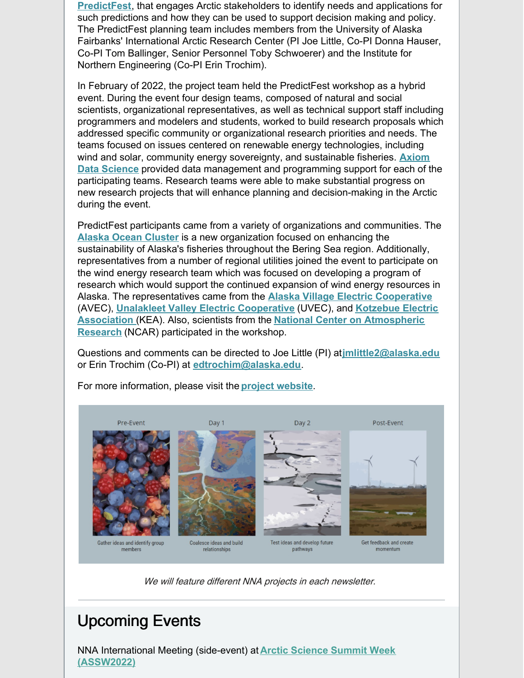**[PredictFest](https://sites.google.com/alaska.edu/nnapredictfest/home)**, that engages Arctic stakeholders to identify needs and applications for such predictions and how they can be used to support decision making and policy. The PredictFest planning team includes members from the University of Alaska Fairbanks' International Arctic Research Center (PI Joe Little, Co-PI Donna Hauser, Co-PI Tom Ballinger, Senior Personnel Toby Schwoerer) and the Institute for Northern Engineering (Co-PI Erin Trochim).

In February of 2022, the project team held the PredictFest workshop as a hybrid event. During the event four design teams, composed of natural and social scientists, organizational representatives, as well as technical support staff including programmers and modelers and students, worked to build research proposals which addressed specific community or organizational research priorities and needs. The teams focused on issues centered on renewable energy technologies, including wind and solar, community energy sovereignty, and sustainable fisheries. **Axiom Data Science** provided data management and [programming](https://www.axiomdatascience.com/) support for each of the participating teams. Research teams were able to make substantial progress on new research projects that will enhance planning and decision-making in the Arctic during the event.

PredictFest participants came from a variety of organizations and communities. The **Alaska Ocean [Cluster](https://www.alaskaoceancluster.com/)** is a new organization focused on enhancing the sustainability of Alaska's fisheries throughout the Bering Sea region. Additionally, representatives from a number of regional utilities joined the event to participate on the wind energy research team which was focused on developing a program of research which would support the continued expansion of wind energy resources in Alaska. The representatives came from the **Alaska Village Electric [Cooperative](https://avec.org/)** (AVEC), **Unalakleet Valley Electric [Cooperative](https://www.facebook.com/UnalakleetElectric/)** (UVEC), and **Kotzebue Electric Association** (KEA). Also, scientists from the **National Center on [Atmospheri](https://ncar.ucar.edu/)[c](https://www.kea.coop/) Research** (NCAR) participated in the workshop.

Questions and comments can be directed to Joe Little (PI) at**[jmlittle2@alaska.edu](mailto:jmlittle2@alaska.edu)** or Erin Trochim (Co-PI) at **[edtrochim@alaska.edu](mailto:edtrochim@alaska.edu)**.



For more information, please visit the **project [website](https://sites.google.com/alaska.edu/nnapredictfest)**.

We will feature different NNA projects in each newsletter.

# Upcoming Events

NNA International Meeting (side-event) at **Arctic Science Summit Week [\(ASSW2022\)](https://www.assw.info/programme/business-and-community-meetings)**